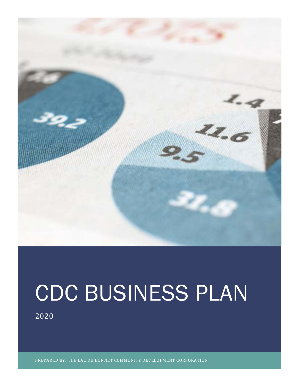

# CDC BUSINESS PLAN

2020

PREPARED BY: THE LAC DU BONNET COMMUNITY DEVELOPMENT CORPORATION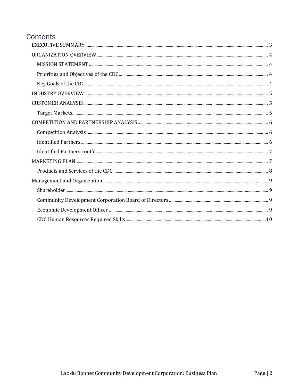#### Contents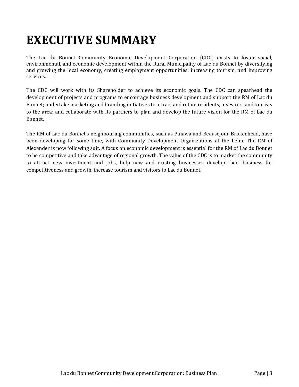# <span id="page-2-0"></span>**EXECUTIVE SUMMARY**

The Lac du Bonnet Community Economic Development Corporation (CDC) exists to foster social, environmental, and economic development within the Rural Municipality of Lac du Bonnet by diversifying and growing the local economy, creating employment opportunities; increasing tourism, and improving services.

The CDC will work with its Shareholder to achieve its economic goals. The CDC can spearhead the development of projects and programs to encourage business development and support the RM of Lac du Bonnet; undertake marketing and branding initiatives to attract and retain residents, investors, and tourists to the area; and collaborate with its partners to plan and develop the future vision for the RM of Lac du Bonnet.

The RM of Lac du Bonnet's neighbouring communities, such as Pinawa and Beausejour-Brokenhead, have been developing for some time, with Community Development Organizations at the helm. The RM of Alexander is now following suit. A focus on economic development is essential for the RM of Lac du Bonnet to be competitive and take advantage of regional growth. The value of the CDC is to market the community to attract new investment and jobs, help new and existing businesses develop their business for competitiveness and growth, increase tourism and visitors to Lac du Bonnet.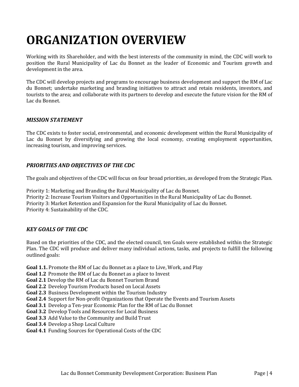# <span id="page-3-0"></span>**ORGANIZATION OVERVIEW**

Working with its Shareholder, and with the best interests of the community in mind, the CDC will work to position the Rural Municipality of Lac du Bonnet as the leader of Economic and Tourism growth and development in the area.

The CDC will develop projects and programs to encourage business development and support the RM of Lac du Bonnet; undertake marketing and branding initiatives to attract and retain residents, investors, and tourists to the area; and collaborate with its partners to develop and execute the future vision for the RM of Lac du Bonnet.

#### <span id="page-3-1"></span>*MISSION STATEMENT*

The CDC exists to foster social, environmental, and economic development within the Rural Municipality of Lac du Bonnet by diversifying and growing the local economy, creating employment opportunities, increasing tourism, and improving services.

#### <span id="page-3-2"></span>*PRIORITIES AND OBJECTIVES OF THE CDC*

The goals and objectives of the CDC will focus on four broad priorities, as developed from the Strategic Plan.

Priority 1: Marketing and Branding the Rural Municipality of Lac du Bonnet. Priority 2: Increase Tourism Visitors and Opportunities in the Rural Municipality of Lac du Bonnet. Priority 3: Market Retention and Expansion for the Rural Municipality of Lac du Bonnet. Priority 4: Sustainability of the CDC.

#### <span id="page-3-3"></span>*KEY GOALS OF THE CDC*

Based on the priorities of the CDC, and the elected council, ten Goals were established within the Strategic Plan. The CDC will produce and deliver many individual actions, tasks, and projects to fulfill the following outlined goals:

**Goal 1.1.** Promote the RM of Lac du Bonnet as a place to Live, Work, and Play

**Goal 1.2** Promote the RM of Lac du Bonnet as a place to Invest

**Goal 2.1** Develop the RM of Lac du Bonnet Tourism Brand

**Goal 2.2** Develop Tourism Products based on Local Assets

**Goal 2.3** Business Development within the Tourism Industry

**Goal 2.4** Support for Non-profit Organizations that Operate the Events and Tourism Assets

**Goal 3.1** Develop a Ten-year Economic Plan for the RM of Lac du Bonnet

**Goal 3.2** Develop Tools and Resources for Local Business

**Goal 3.3** Add Value to the Community and Build Trust

**Goal 3.4** Develop a Shop Local Culture

**Goal 4.1** Funding Sources for Operational Costs of the CDC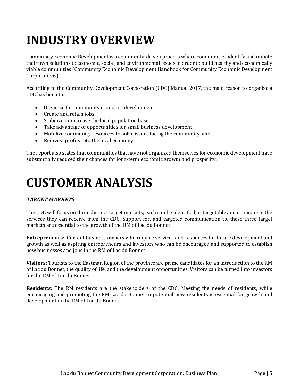# <span id="page-4-0"></span>**INDUSTRY OVERVIEW**

Community Economic Development is a community-driven process where communities identify and initiate their own solutions to economic, social, and environmental issues in order to build healthy and economically viable communities (Community Economic Development Handbook for Community Economic Development Corporations).

According to the Community Development Corporation (CDC) Manual 2017, the main reason to organize a CDC has been to:

- Organize for community economic development
- Create and retain jobs
- Stabilize or increase the local population base
- Take advantage of opportunities for small business development
- Mobilize community resources to solve issues facing the community, and
- Reinvest profits into the local economy

The report also states that communities that have not organized themselves for economic development have substantially reduced their chances for long-term economic growth and prosperity.

### <span id="page-4-1"></span>**CUSTOMER ANALYSIS**

#### <span id="page-4-2"></span>*TARGET MARKETS*

The CDC will focus on three distinct target markets; each can be identified, is targetable and is unique in the services they can receive from the CDC. Support for, and targeted communication to, these three target markets are essential to the growth of the RM of Lac du Bonnet.

**Entrepreneurs:** Current business owners who require services and resources for future development and growth as well as aspiring entrepreneurs and investors who can be encouraged and supported to establish new businesses and jobs in the RM of Lac du Bonnet.

**Visitors:** Tourists to the Eastman Region of the province are prime candidates for an introduction to the RM of Lac du Bonnet, the quality of life, and the development opportunities. Visitors can be turned into investors for the RM of Lac du Bonnet.

**Residents:** The RM residents are the stakeholders of the CDC. Meeting the needs of residents, while encouraging and promoting the RM Lac du Bonnet to potential new residents is essential for growth and development in the RM of Lac du Bonnet.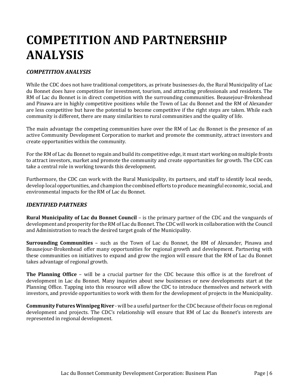### <span id="page-5-0"></span>**COMPETITION AND PARTNERSHIP ANALYSIS**

#### <span id="page-5-1"></span>*COMPETITION ANALYSIS*

While the CDC does not have traditional competitors, as private businesses do, the Rural Municipality of Lac du Bonnet does have competition for investment, tourism, and attracting professionals and residents. The RM of Lac du Bonnet is in direct competition with the surrounding communities. Beausejour-Brokenhead and Pinawa are in highly competitive positions while the Town of Lac du Bonnet and the RM of Alexander are less competitive but have the potential to become competitive if the right steps are taken. While each community is different, there are many similarities to rural communities and the quality of life.

The main advantage the competing communities have over the RM of Lac du Bonnet is the presence of an active Community Development Corporation to market and promote the community, attract investors and create opportunities within the community.

For the RM of Lac du Bonnet to regain and build its competitive edge, it must start working on multiple fronts to attract investors, market and promote the community and create opportunities for growth. The CDC can take a central role in working towards this development.

Furthermore, the CDC can work with the Rural Municipality, its partners, and staff to identify local needs, develop local opportunities, and champion the combined efforts to produce meaningful economic, social, and environmental impacts for the RM of Lac du Bonnet.

#### <span id="page-5-2"></span>*IDENTIFIED PARTNERS*

**Rural Municipality of Lac du Bonnet Council** – is the primary partner of the CDC and the vanguards of development and prosperity for the RM of Lac du Bonnet. The CDC will work in collaboration with the Council and Administration to reach the desired target goals of the Municipality.

**Surrounding Communities** – such as the Town of Lac du Bonnet, the RM of Alexander, Pinawa and Beausejour-Brokenhead offer many opportunities for regional growth and development. Partnering with these communities on initiatives to expand and grow the region will ensure that the RM of Lac du Bonnet takes advantage of regional growth.

**The Planning Office** – will be a crucial partner for the CDC because this office is at the forefront of development in Lac du Bonnet. Many inquiries about new businesses or new developments start at the Planning Office. Tapping into this resource will allow the CDC to introduce themselves and network with investors, and provide opportunities to work with them for the development of projects in the Municipality.

**Community Futures Winnipeg River** - will be a useful partner for the CDC because of their focus on regional development and projects. The CDC's relationship will ensure that RM of Lac du Bonnet's interests are represented in regional development.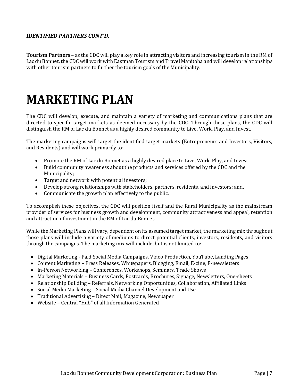#### <span id="page-6-0"></span>*IDENTIFIED PARTNERS CONT'D.*

**Tourism Partners** – as the CDC will play a key role in attracting visitors and increasing tourism in the RM of Lac du Bonnet, the CDC will work with Eastman Tourism and Travel Manitoba and will develop relationships with other tourism partners to further the tourism goals of the Municipality.

### <span id="page-6-1"></span>**MARKETING PLAN**

The CDC will develop, execute, and maintain a variety of marketing and communications plans that are directed to specific target markets as deemed necessary by the CDC. Through these plans, the CDC will distinguish the RM of Lac du Bonnet as a highly desired community to Live, Work, Play, and Invest.

The marketing campaigns will target the identified target markets (Entrepreneurs and Investors, Visitors, and Residents) and will work primarily to:

- Promote the RM of Lac du Bonnet as a highly desired place to Live, Work, Play, and Invest
- Build community awareness about the products and services offered by the CDC and the Municipality;
- Target and network with potential investors;
- Develop strong relationships with stakeholders, partners, residents, and investors; and,
- Communicate the growth plan effectively to the public.

To accomplish these objectives, the CDC will position itself and the Rural Municipality as the mainstream provider of services for business growth and development, community attractiveness and appeal, retention and attraction of investment in the RM of Lac du Bonnet.

While the Marketing Plans will vary, dependent on its assumed target market, the marketing mix throughout those plans will include a variety of mediums to direct potential clients, investors, residents, and visitors through the campaigns. The marketing mix will include, but is not limited to:

- Digital Marketing Paid Social Media Campaigns, Video Production, YouTube, Landing Pages
- Content Marketing Press Releases, Whitepapers, Blogging, Email, E-zine, E-newsletters
- In-Person Networking Conferences, Workshops, Seminars, Trade Shows
- Marketing Materials Business Cards, Postcards, Brochures, Signage, Newsletters, One-sheets
- Relationship Building Referrals, Networking Opportunities, Collaboration, Affiliated Links
- Social Media Marketing Social Media Channel Development and Use
- Traditional Advertising Direct Mail, Magazine, Newspaper
- Website Central "Hub" of all Information Generated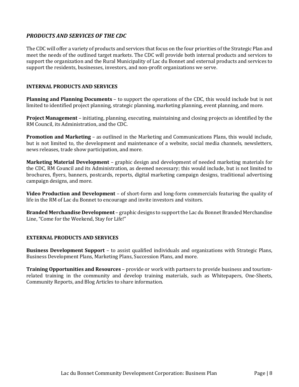#### <span id="page-7-0"></span>*PRODUCTS AND SERVICES OF THE CDC*

The CDC will offer a variety of products and services that focus on the four priorities of the Strategic Plan and meet the needs of the outlined target markets. The CDC will provide both internal products and services to support the organization and the Rural Municipality of Lac du Bonnet and external products and services to support the residents, businesses, investors, and non-profit organizations we serve.

#### **INTERNAL PRODUCTS AND SERVICES**

**Planning and Planning Documents** – to support the operations of the CDC, this would include but is not limited to identified project planning, strategic planning, marketing planning, event planning, and more.

**Project Management** – initiating, planning, executing, maintaining and closing projects as identified by the RM Council, its Administration, and the CDC.

**Promotion and Marketing** – as outlined in the Marketing and Communications Plans, this would include, but is not limited to, the development and maintenance of a website, social media channels, newsletters, news releases, trade show participation, and more.

**Marketing Material Development** – graphic design and development of needed marketing materials for the CDC, RM Council and its Administration, as deemed necessary; this would include, but is not limited to brochures, flyers, banners, postcards, reports, digital marketing campaign designs, traditional advertising campaign designs, and more.

**Video Production and Development** – of short-form and long-form commercials featuring the quality of life in the RM of Lac du Bonnet to encourage and invite investors and visitors.

**Branded Merchandise Development** – graphic designs to support the Lac du Bonnet Branded Merchandise Line, "Come for the Weekend, Stay for Life!"

#### **EXTERNAL PRODUCTS AND SERVICES**

**Business Development Support** – to assist qualified individuals and organizations with Strategic Plans, Business Development Plans, Marketing Plans, Succession Plans, and more.

**Training Opportunities and Resources** – provide or work with partners to provide business and tourismrelated training in the community and develop training materials, such as Whitepapers, One-Sheets, Community Reports, and Blog Articles to share information.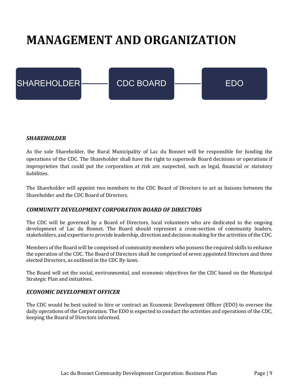## <span id="page-8-0"></span>**MANAGEMENT AND ORGANIZATION**



#### <span id="page-8-1"></span>*SHAREHOLDER*

As the sole Shareholder, the Rural Municipality of Lac du Bonnet will be responsible for funding the operations of the CDC. The Shareholder shall have the right to supersede Board decisions or operations if improprieties that could put the corporation at risk are suspected, such as legal, financial or statutory liabilities.

The Shareholder will appoint two members to the CDC Board of Directors to act as liaisons between the Shareholder and the CDC Board of Directors.

#### <span id="page-8-2"></span>*COMMUNITY DEVELOPMENT CORPORATION BOARD OF DIRECTORS*

The CDC will be governed by a Board of Directors, local volunteers who are dedicated to the ongoing development of Lac du Bonnet. The Board should represent a cross-section of community leaders, stakeholders, and expertise to provide leadership, direction and decision-making for the activities of the CDC.

Members of the Board will be comprised of community members who possess the required skills to enhance the operation of the CDC. The Board of Directors shall be comprised of seven appointed Directors and three elected Directors, as outlined in the CDC By-laws.

The Board will set the social, environmental, and economic objectives for the CDC based on the Municipal Strategic Plan and initiatives.

#### <span id="page-8-3"></span>*ECONOMIC DEVELOPMENT OFFICER*

The CDC would be best suited to hire or contract an Economic Development Officer (EDO) to oversee the daily operations of the Corporation. The EDO is expected to conduct the activities and operations of the CDC, keeping the Board of Directors informed.